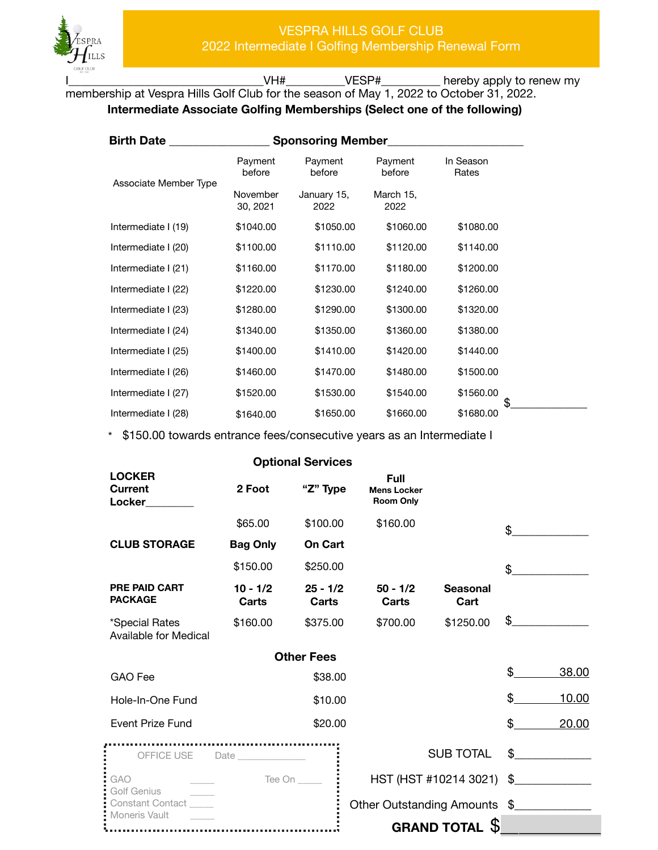

VH#\_\_\_\_\_\_\_\_\_\_VESP#\_\_\_\_\_\_\_\_\_\_\_ hereby apply to renew my

membership at Vespra Hills Golf Club for the season of May 1, 2022 to October 31, 2022. **Intermediate Associate Golfing Memberships (Select one of the following)** 

| <b>Birth Date</b><br><b>Sponsoring Member</b> |                      |                     |                   |                    |
|-----------------------------------------------|----------------------|---------------------|-------------------|--------------------|
| Associate Member Type                         | Payment<br>before    | Payment<br>before   | Payment<br>before | In Season<br>Rates |
|                                               | November<br>30, 2021 | January 15,<br>2022 | March 15,<br>2022 |                    |
| Intermediate I (19)                           | \$1040.00            | \$1050.00           | \$1060.00         | \$1080.00          |
| Intermediate I (20)                           | \$1100.00            | \$1110.00           | \$1120.00         | \$1140.00          |
| Intermediate I (21)                           | \$1160.00            | \$1170.00           | \$1180.00         | \$1200.00          |
| Intermediate I (22)                           | \$1220.00            | \$1230.00           | \$1240.00         | \$1260.00          |
| Intermediate I (23)                           | \$1280.00            | \$1290.00           | \$1300.00         | \$1320.00          |
| Intermediate I (24)                           | \$1340.00            | \$1350.00           | \$1360.00         | \$1380.00          |
| Intermediate I (25)                           | \$1400.00            | \$1410.00           | \$1420.00         | \$1440.00          |
| Intermediate I (26)                           | \$1460.00            | \$1470.00           | \$1480.00         | \$1500.00          |
| Intermediate I (27)                           | \$1520.00            | \$1530.00           | \$1540.00         | \$1560.00          |
| Intermediate I (28)                           | \$1640.00            | \$1650.00           | \$1660.00         | \$<br>\$1680.00    |

\* \$150.00 towards entrance fees/consecutive years as an Intermediate I

|                                               |                                                                                                                                                                                                                                   | <b>Optional Services</b> |                                                       |                                      |             |
|-----------------------------------------------|-----------------------------------------------------------------------------------------------------------------------------------------------------------------------------------------------------------------------------------|--------------------------|-------------------------------------------------------|--------------------------------------|-------------|
| <b>LOCKER</b><br><b>Current</b><br>Locker     | 2 Foot                                                                                                                                                                                                                            | "Z" Type                 | <b>Full</b><br><b>Mens Locker</b><br><b>Room Only</b> |                                      |             |
|                                               | \$65.00                                                                                                                                                                                                                           | \$100.00                 | \$160.00                                              |                                      | \$          |
| <b>CLUB STORAGE</b>                           | <b>Bag Only</b>                                                                                                                                                                                                                   | <b>On Cart</b>           |                                                       |                                      |             |
|                                               | \$150.00                                                                                                                                                                                                                          | \$250.00                 |                                                       |                                      | \$          |
| <b>PRE PAID CART</b><br><b>PACKAGE</b>        | $10 - 1/2$<br>Carts                                                                                                                                                                                                               | $25 - 1/2$<br>Carts      | $50 - 1/2$<br>Carts                                   | <b>Seasonal</b><br>Cart              |             |
| *Special Rates<br>Available for Medical       | \$160.00                                                                                                                                                                                                                          | \$375.00                 | \$700.00                                              | \$1250.00                            | \$          |
|                                               |                                                                                                                                                                                                                                   | <b>Other Fees</b>        |                                                       |                                      |             |
| <b>GAO</b> Fee                                |                                                                                                                                                                                                                                   | \$38.00                  |                                                       |                                      | \$<br>38.00 |
| Hole-In-One Fund                              |                                                                                                                                                                                                                                   | \$10.00                  |                                                       |                                      | \$<br>10.00 |
| <b>Event Prize Fund</b>                       |                                                                                                                                                                                                                                   | \$20.00                  |                                                       |                                      | \$<br>20.00 |
| OFFICE USE                                    | <br>Date and the set of the set of the set of the set of the set of the set of the set of the set of the set of the set of the set of the set of the set of the set of the set of the set of the set of the set of the set of the |                          |                                                       | <b>SUB TOTAL</b>                     | \$          |
| <b>GAO</b>                                    |                                                                                                                                                                                                                                   | Tee On $\_\_\_\_\_\_\$   |                                                       | HST (HST #10214 3021) \$____________ |             |
| <b>Golf Genius</b><br><b>Constant Contact</b> |                                                                                                                                                                                                                                   |                          | Other Outstanding Amounts \$                          |                                      |             |
| Moneris Vault                                 |                                                                                                                                                                                                                                   |                          |                                                       | <b>GRAND TOTAL</b>                   |             |